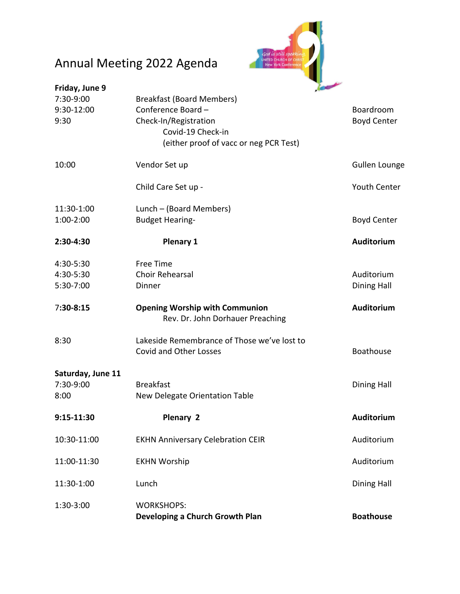## Annual Meeting 2022 Agenda



| Friday, June 9    |                                             | <b>COMPANY</b>       |
|-------------------|---------------------------------------------|----------------------|
| 7:30-9:00         | <b>Breakfast (Board Members)</b>            |                      |
| 9:30-12:00        | Conference Board -                          | Boardroom            |
| 9:30              | Check-In/Registration                       | <b>Boyd Center</b>   |
|                   | Covid-19 Check-in                           |                      |
|                   | (either proof of vacc or neg PCR Test)      |                      |
|                   |                                             |                      |
| 10:00             | Vendor Set up                               | <b>Gullen Lounge</b> |
|                   | Child Care Set up -                         | <b>Youth Center</b>  |
| 11:30-1:00        | Lunch – (Board Members)                     |                      |
| 1:00-2:00         | <b>Budget Hearing-</b>                      | <b>Boyd Center</b>   |
| 2:30-4:30         | <b>Plenary 1</b>                            | <b>Auditorium</b>    |
| 4:30-5:30         | <b>Free Time</b>                            |                      |
| 4:30-5:30         | <b>Choir Rehearsal</b>                      | Auditorium           |
| 5:30-7:00         | Dinner                                      | <b>Dining Hall</b>   |
| 7:30-8:15         | <b>Opening Worship with Communion</b>       | <b>Auditorium</b>    |
|                   | Rev. Dr. John Dorhauer Preaching            |                      |
| 8:30              | Lakeside Remembrance of Those we've lost to |                      |
|                   | <b>Covid and Other Losses</b>               | <b>Boathouse</b>     |
| Saturday, June 11 |                                             |                      |
| 7:30-9:00         | <b>Breakfast</b>                            | <b>Dining Hall</b>   |
| 8:00              | New Delegate Orientation Table              |                      |
| 9:15-11:30        | Plenary 2                                   | Auditorium           |
| 10:30-11:00       | <b>EKHN Anniversary Celebration CEIR</b>    | Auditorium           |
| 11:00-11:30       | <b>EKHN Worship</b>                         | Auditorium           |
| 11:30-1:00        | Lunch                                       | <b>Dining Hall</b>   |
| 1:30-3:00         | <b>WORKSHOPS:</b>                           |                      |
|                   | Developing a Church Growth Plan             | <b>Boathouse</b>     |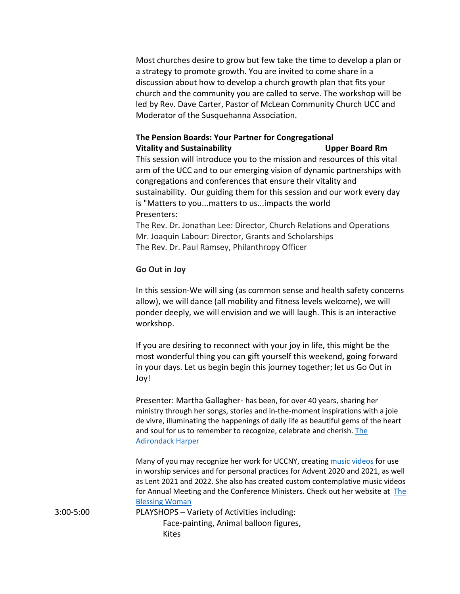Most churches desire to grow but few take the time to develop a plan or a strategy to promote growth. You are invited to come share in a discussion about how to develop a church growth plan that fits your church and the community you are called to serve. The workshop will be led by Rev. Dave Carter, Pastor of McLean Community Church UCC and Moderator of the Susquehanna Association.

## **The Pension Boards: Your Partner for Congregational**

**Vitality and Sustainability Upper Board Rm** This session will introduce you to the mission and resources of this vital arm of the UCC and to our emerging vision of dynamic partnerships with congregations and conferences that ensure their vitality and sustainability. Our guiding them for this session and our work every day is "Matters to you...matters to us...impacts the world Presenters:

The Rev. Dr. Jonathan Lee: Director, Church Relations and Operations Mr. Joaquin Labour: Director, Grants and Scholarships The Rev. Dr. Paul Ramsey, Philanthropy Officer

## **Go Out in Joy**

In this session-We will sing (as common sense and health safety concerns allow), we will dance (all mobility and fitness levels welcome), we will ponder deeply, we will envision and we will laugh. This is an interactive workshop.

If you are desiring to reconnect with your joy in life, this might be the most wonderful thing you can gift yourself this weekend, going forward in your days. Let us begin begin this journey together; let us Go Out in Joy!

Presenter: Martha Gallagher- has been, for over 40 years, sharing her ministry through her songs, stories and in-the-moment inspirations with a joie de vivre, illuminating the happenings of daily life as beautiful gems of the heart and soul for us to remember to recognize, celebrate and cherish. The Adirondack Harper

Many of you may recognize her work for UCCNY, creating music videos for use in worship services and for personal practices for Advent 2020 and 2021, as well as Lent 2021 and 2022. She also has created custom contemplative music videos for Annual Meeting and the Conference Ministers. Check out her website at The Blessing Woman

3:00-5:00 PLAYSHOPS – Variety of Activities including: Face-painting, Animal balloon figures, Kites